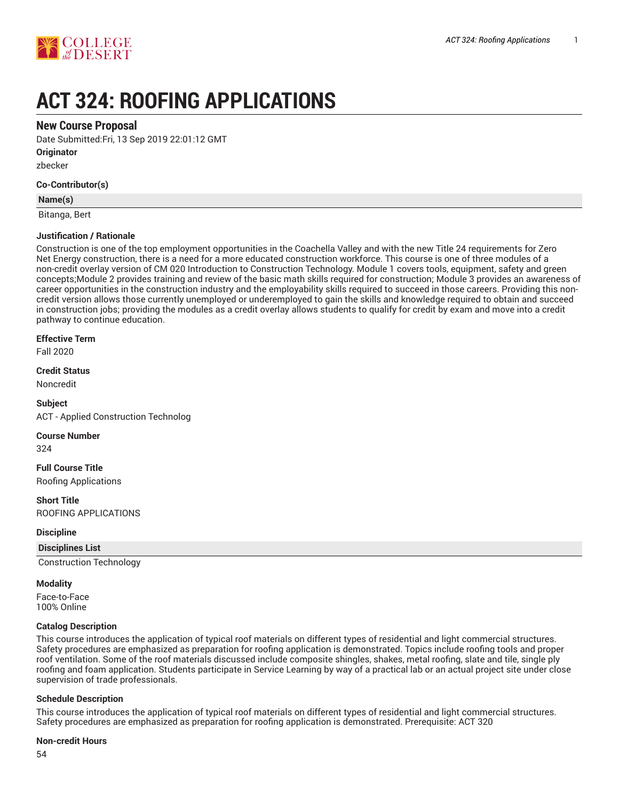

# **ACT 324: ROOFING APPLICATIONS**

# **New Course Proposal**

Date Submitted:Fri, 13 Sep 2019 22:01:12 GMT

**Originator**

zbecker

## **Co-Contributor(s)**

#### **Name(s)**

Bitanga, Bert

## **Justification / Rationale**

Construction is one of the top employment opportunities in the Coachella Valley and with the new Title 24 requirements for Zero Net Energy construction, there is a need for a more educated construction workforce. This course is one of three modules of a non-credit overlay version of CM 020 Introduction to Construction Technology. Module 1 covers tools, equipment, safety and green concepts;Module 2 provides training and review of the basic math skills required for construction; Module 3 provides an awareness of career opportunities in the construction industry and the employability skills required to succeed in those careers. Providing this noncredit version allows those currently unemployed or underemployed to gain the skills and knowledge required to obtain and succeed in construction jobs; providing the modules as a credit overlay allows students to qualify for credit by exam and move into a credit pathway to continue education.

#### **Effective Term**

Fall 2020

# **Credit Status**

Noncredit

**Subject** ACT - Applied Construction Technolog

**Course Number**

324

**Full Course Title** Roofing Applications

#### **Short Title**

ROOFING APPLICATIONS

#### **Discipline**

**Disciplines List**

Construction Technology

#### **Modality**

Face-to-Face 100% Online

#### **Catalog Description**

This course introduces the application of typical roof materials on different types of residential and light commercial structures. Safety procedures are emphasized as preparation for roofing application is demonstrated. Topics include roofing tools and proper roof ventilation. Some of the roof materials discussed include composite shingles, shakes, metal roofing, slate and tile, single ply roofing and foam application. Students participate in Service Learning by way of a practical lab or an actual project site under close supervision of trade professionals.

#### **Schedule Description**

This course introduces the application of typical roof materials on different types of residential and light commercial structures. Safety procedures are emphasized as preparation for roofing application is demonstrated. Prerequisite: ACT 320

#### **Non-credit Hours**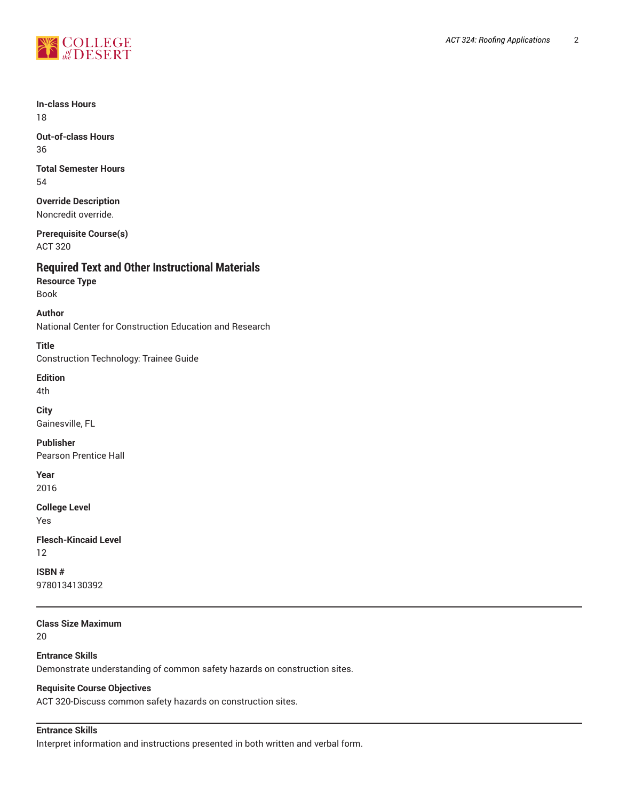

#### **In-class Hours** 18

**Out-of-class Hours** 36

**Total Semester Hours** 54

**Override Description** Noncredit override.

**Prerequisite Course(s)** ACT 320

# **Required Text and Other Instructional Materials**

**Resource Type** Book

**Author** National Center for Construction Education and Research

**Title** Construction Technology: Trainee Guide

**Edition**

4th

**City** Gainesville, FL

**Publisher** Pearson Prentice Hall

**Year**

2016

**College Level** Yes

**Flesch-Kincaid Level** 12

**ISBN #** 9780134130392

**Class Size Maximum**

20

**Entrance Skills** Demonstrate understanding of common safety hazards on construction sites.

## **Requisite Course Objectives**

ACT 320-Discuss common safety hazards on construction sites.

## **Entrance Skills**

Interpret information and instructions presented in both written and verbal form.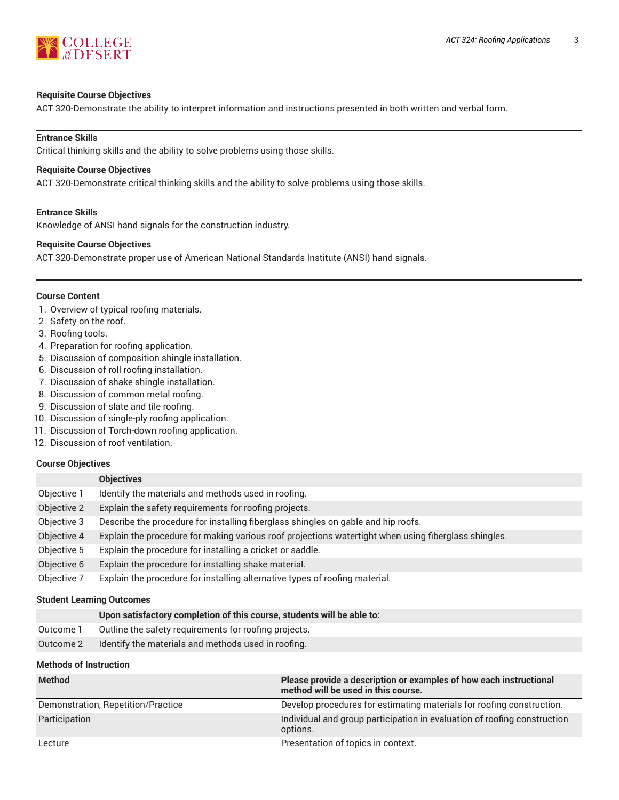

#### **Requisite Course Objectives**

ACT 320-Demonstrate the ability to interpret information and instructions presented in both written and verbal form.

## **Entrance Skills**

Critical thinking skills and the ability to solve problems using those skills.

#### **Requisite Course Objectives**

ACT 320-Demonstrate critical thinking skills and the ability to solve problems using those skills.

## **Entrance Skills**

Knowledge of ANSI hand signals for the construction industry.

## **Requisite Course Objectives**

ACT 320-Demonstrate proper use of American National Standards Institute (ANSI) hand signals.

#### **Course Content**

- 1. Overview of typical roofing materials.
- 2. Safety on the roof.
- 3. Roofing tools.
- 4. Preparation for roofing application.
- 5. Discussion of composition shingle installation.
- 6. Discussion of roll roofing installation.
- 7. Discussion of shake shingle installation.
- 8. Discussion of common metal roofing.
- 9. Discussion of slate and tile roofing.
- 10. Discussion of single-ply roofing application.
- 11. Discussion of Torch-down roofing application.
- 12. Discussion of roof ventilation.

#### **Course Objectives**

|             | <b>Objectives</b>                                                                                    |
|-------------|------------------------------------------------------------------------------------------------------|
| Objective 1 | Identify the materials and methods used in roofing.                                                  |
| Objective 2 | Explain the safety requirements for roofing projects.                                                |
| Objective 3 | Describe the procedure for installing fiberglass shingles on gable and hip roofs.                    |
| Objective 4 | Explain the procedure for making various roof projections watertight when using fiberglass shingles. |
| Objective 5 | Explain the procedure for installing a cricket or saddle.                                            |
| Objective 6 | Explain the procedure for installing shake material.                                                 |
| Objective 7 | Explain the procedure for installing alternative types of roofing material.                          |

#### **Student Learning Outcomes**

|           | Upon satisfactory completion of this course, students will be able to: |
|-----------|------------------------------------------------------------------------|
| Outcome 1 | Outline the safety requirements for roofing projects.                  |
| Outcome 2 | Identify the materials and methods used in roofing.                    |

## **Methods of Instruction**

| <b>Method</b>                      | Please provide a description or examples of how each instructional<br>method will be used in this course. |
|------------------------------------|-----------------------------------------------------------------------------------------------------------|
| Demonstration, Repetition/Practice | Develop procedures for estimating materials for roofing construction.                                     |
| Participation                      | Individual and group participation in evaluation of roofing construction<br>options.                      |
| Lecture                            | Presentation of topics in context.                                                                        |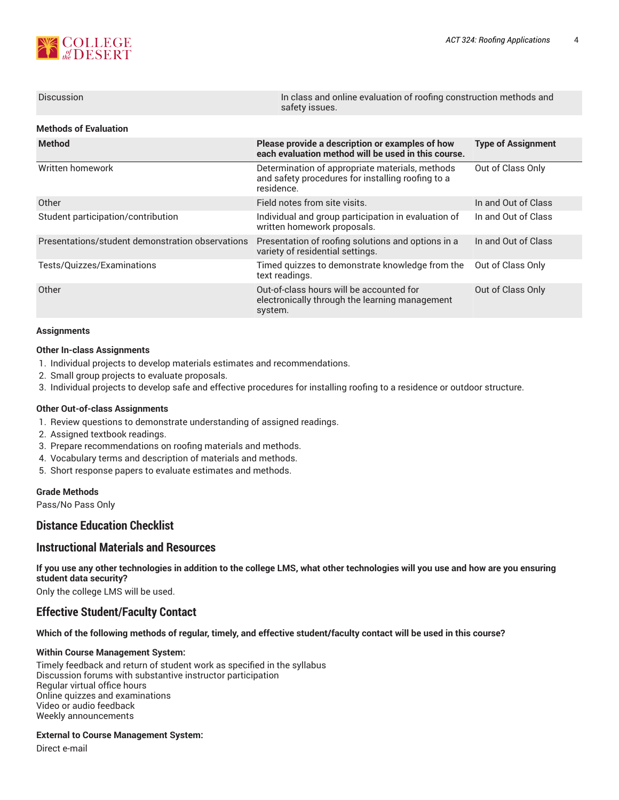

| <b>Discussion</b>                                | In class and online evaluation of roofing construction methods and<br>safety issues.                               |                           |  |  |  |  |
|--------------------------------------------------|--------------------------------------------------------------------------------------------------------------------|---------------------------|--|--|--|--|
| <b>Methods of Evaluation</b>                     |                                                                                                                    |                           |  |  |  |  |
| <b>Method</b>                                    | Please provide a description or examples of how<br>each evaluation method will be used in this course.             | <b>Type of Assignment</b> |  |  |  |  |
| Written homework                                 | Determination of appropriate materials, methods<br>and safety procedures for installing roofing to a<br>residence. | Out of Class Only         |  |  |  |  |
| Other                                            | Field notes from site visits.                                                                                      | In and Out of Class       |  |  |  |  |
| Student participation/contribution               | Individual and group participation in evaluation of<br>written homework proposals.                                 | In and Out of Class       |  |  |  |  |
| Presentations/student demonstration observations | Presentation of roofing solutions and options in a<br>variety of residential settings.                             | In and Out of Class       |  |  |  |  |
| Tests/Quizzes/Examinations                       | Timed quizzes to demonstrate knowledge from the<br>text readings.                                                  | Out of Class Only         |  |  |  |  |
| Other                                            | Out-of-class hours will be accounted for<br>electronically through the learning management<br>system.              | Out of Class Only         |  |  |  |  |

#### **Assignments**

#### **Other In-class Assignments**

- 1. Individual projects to develop materials estimates and recommendations.
- 2. Small group projects to evaluate proposals.
- 3. Individual projects to develop safe and effective procedures for installing roofing to a residence or outdoor structure.

#### **Other Out-of-class Assignments**

- 1. Review questions to demonstrate understanding of assigned readings.
- 2. Assigned textbook readings.
- 3. Prepare recommendations on roofing materials and methods.
- 4. Vocabulary terms and description of materials and methods.
- 5. Short response papers to evaluate estimates and methods.

#### **Grade Methods**

Pass/No Pass Only

# **Distance Education Checklist**

## **Instructional Materials and Resources**

If you use any other technologies in addition to the college LMS, what other technologies will you use and how are you ensuring **student data security?**

Only the college LMS will be used.

# **Effective Student/Faculty Contact**

Which of the following methods of regular, timely, and effective student/faculty contact will be used in this course?

#### **Within Course Management System:**

Timely feedback and return of student work as specified in the syllabus Discussion forums with substantive instructor participation Regular virtual office hours Online quizzes and examinations Video or audio feedback Weekly announcements

#### **External to Course Management System:**

Direct e-mail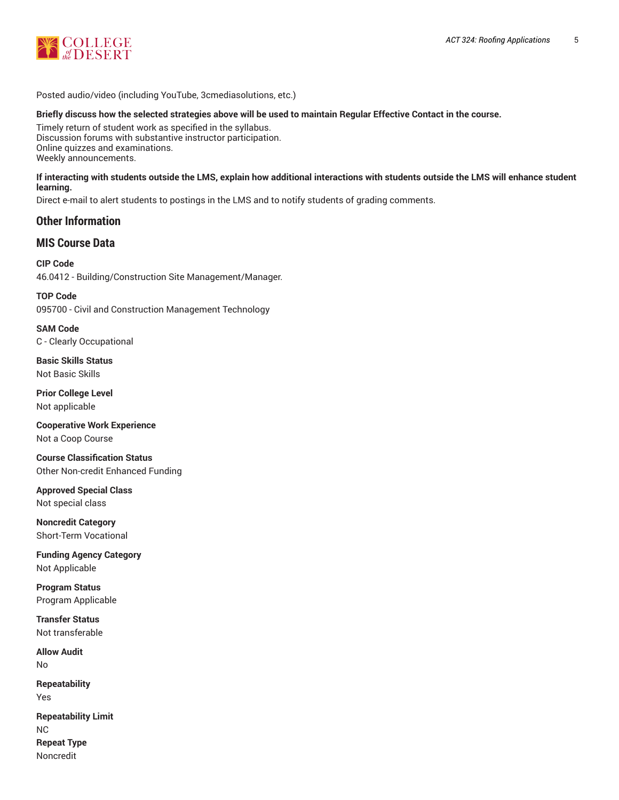

Posted audio/video (including YouTube, 3cmediasolutions, etc.)

## Briefly discuss how the selected strategies above will be used to maintain Regular Effective Contact in the course.

Timely return of student work as specified in the syllabus. Discussion forums with substantive instructor participation. Online quizzes and examinations. Weekly announcements.

#### **If interacting with students outside the LMS, explain how additional interactions with students outside the LMS will enhance student learning.**

Direct e-mail to alert students to postings in the LMS and to notify students of grading comments.

# **Other Information**

# **MIS Course Data**

**CIP Code** 46.0412 - Building/Construction Site Management/Manager.

**TOP Code** 095700 - Civil and Construction Management Technology

**SAM Code** C - Clearly Occupational

**Basic Skills Status** Not Basic Skills

**Prior College Level** Not applicable

**Cooperative Work Experience** Not a Coop Course

**Course Classification Status** Other Non-credit Enhanced Funding

**Approved Special Class** Not special class

**Noncredit Category** Short-Term Vocational

**Funding Agency Category** Not Applicable

**Program Status** Program Applicable

**Transfer Status** Not transferable

**Allow Audit** No **Repeatability** Yes

**Repeatability Limit** NC **Repeat Type** Noncredit